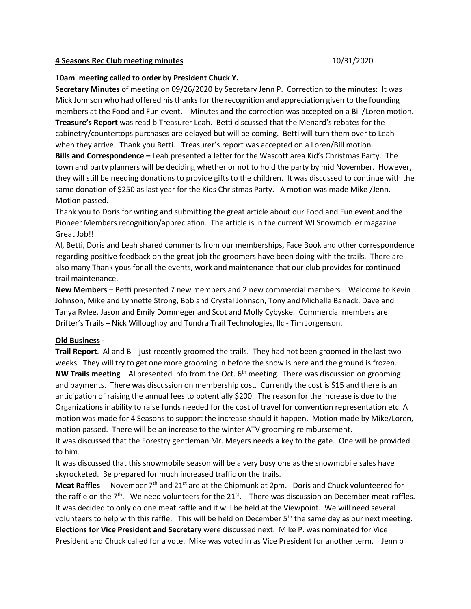## **4 Seasons Rec Club meeting minutes** 10/31/2020

## **10am meeting called to order by President Chuck Y.**

**Secretary Minutes** of meeting on 09/26/2020 by Secretary Jenn P. Correction to the minutes: It was Mick Johnson who had offered his thanks for the recognition and appreciation given to the founding members at the Food and Fun event. Minutes and the correction was accepted on a Bill/Loren motion. **Treasure's Report** was read b Treasurer Leah. Betti discussed that the Menard's rebates for the cabinetry/countertops purchases are delayed but will be coming. Betti will turn them over to Leah when they arrive. Thank you Betti. Treasurer's report was accepted on a Loren/Bill motion. **Bills and Correspondence –** Leah presented a letter for the Wascott area Kid's Christmas Party. The town and party planners will be deciding whether or not to hold the party by mid November. However, they will still be needing donations to provide gifts to the children. It was discussed to continue with the same donation of \$250 as last year for the Kids Christmas Party. A motion was made Mike /Jenn. Motion passed.

Thank you to Doris for writing and submitting the great article about our Food and Fun event and the Pioneer Members recognition/appreciation. The article is in the current WI Snowmobiler magazine. Great Job!!

Al, Betti, Doris and Leah shared comments from our memberships, Face Book and other correspondence regarding positive feedback on the great job the groomers have been doing with the trails. There are also many Thank yous for all the events, work and maintenance that our club provides for continued trail maintenance.

**New Members** – Betti presented 7 new members and 2 new commercial members. Welcome to Kevin Johnson, Mike and Lynnette Strong, Bob and Crystal Johnson, Tony and Michelle Banack, Dave and Tanya Rylee, Jason and Emily Dommeger and Scot and Molly Cybyske. Commercial members are Drifter's Trails – Nick Willoughby and Tundra Trail Technologies, llc - Tim Jorgenson.

## **Old Business -**

**Trail Report**. Al and Bill just recently groomed the trails. They had not been groomed in the last two weeks. They will try to get one more grooming in before the snow is here and the ground is frozen. **NW Trails meeting** – Al presented info from the Oct. 6th meeting. There was discussion on grooming and payments. There was discussion on membership cost. Currently the cost is \$15 and there is an anticipation of raising the annual fees to potentially \$200. The reason for the increase is due to the Organizations inability to raise funds needed for the cost of travel for convention representation etc. A motion was made for 4 Seasons to support the increase should it happen. Motion made by Mike/Loren, motion passed. There will be an increase to the winter ATV grooming reimbursement. It was discussed that the Forestry gentleman Mr. Meyers needs a key to the gate. One will be provided to him.

It was discussed that this snowmobile season will be a very busy one as the snowmobile sales have skyrocketed. Be prepared for much increased traffic on the trails.

**Meat Raffles** - November 7<sup>th</sup> and 21<sup>st</sup> are at the Chipmunk at 2pm. Doris and Chuck volunteered for the raffle on the  $7<sup>th</sup>$ . We need volunteers for the  $21<sup>st</sup>$ . There was discussion on December meat raffles. It was decided to only do one meat raffle and it will be held at the Viewpoint. We will need several volunteers to help with this raffle. This will be held on December  $5<sup>th</sup>$  the same day as our next meeting. **Elections for Vice President and Secretary** were discussed next. Mike P. was nominated for Vice President and Chuck called for a vote. Mike was voted in as Vice President for another term. Jenn p